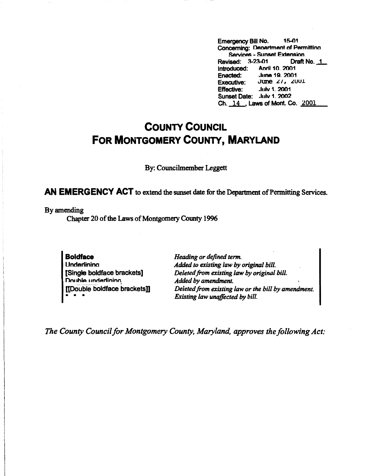Emergency Bill No. 15-01 Concerning: Department of Permitting **Services - Sunset Extension<br>
<b>SARCE:** 3-23-01<br>
Draft No. 1 Revised: 3-23-01 Introduced: Anril 10. 2001<br>Enacted: June 19. 2001 **Enacted: Jun11 1Q\_** 2001 Executive: June 21, 2001 **Effective:** Julv 1 \_ **2001**  Sunset **Date:** Julv 1 \_ **2002**  Ch. \_!L, **Laws of Mont. Co.** <sup>2001</sup>

## **COUNTY COUNCIL FOR MONTGOMERY COUNTY, MARYLAND**

By: Councilmember Leggett

**AN EMERGENCY ACT** to extend the sunset date for the Department of Permitting Services.

By amending

Chapter 20 of the Laws of Montgomery County 1996

**Boldface**  Underlinina [Single boldface brackets] Double underlining [[Double boldface brackets]] \* \* \*

*Heading or defined term. Added to existing law* by *original bill. Deleted from existing law by original bill. Added by amendment. Deleted from existing law or the bill by amendment. Existing law unaffected* by *bill.* 

*The County Council for Montgomery County, Maryland, approves the following Act:*